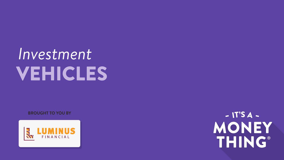# *Investment* VEHICLES

**BROUGHT TO YOU BY**



 $- IT'SA -$ MONEY THING®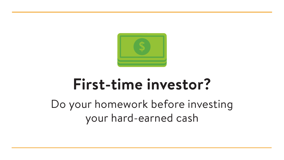

# **First-time investor?**

Do your homework before investing your hard-earned cash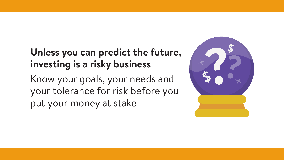### **Unless you can predict the future, investing is a risky business**

Know your goals, your needs and your tolerance for risk before you put your money at stake

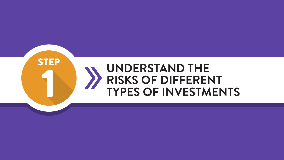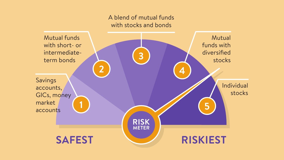### A blend of mutual funds with stocks and bonds

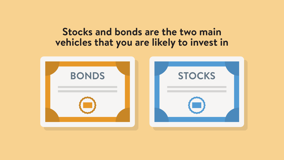### **Stocks and bonds are the two main vehicles that you are likely to invest in**

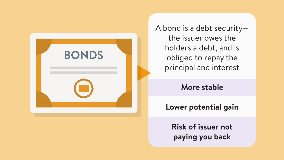

A bond is a debt security the issuer owes the holders a debt, and is obliged to repay the principal and interest

### **More stable**

**Lower potential gain**

**Risk of issuer not paying you back**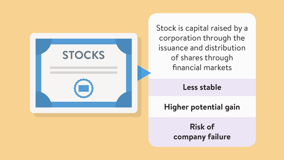

Stock is capital raised by a corporation through the issuance and distribution of shares through financial markets

### **Less stable**

**Higher potential gain**

**Risk of company failure**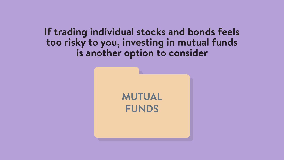**If trading individual stocks and bonds feels too risky to you, investing in mutual funds is another option to consider**

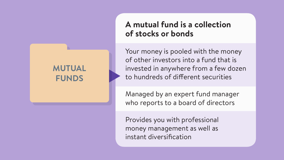### **MUTUAL FUNDS**

### **A mutual fund is a collection of stocks or bonds**

Your money is pooled with the money of other investors into a fund that is invested in anywhere from a few dozen to hundreds of different securities

Managed by an expert fund manager who reports to a board of directors

Provides you with professional money management as well as instant diversification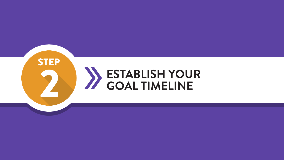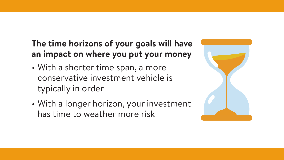### **The time horizons of your goals will have an impact on where you put your money**

- With a shorter time span, a more conservative investment vehicle is typically in order
- With a longer horizon, your investment has time to weather more risk

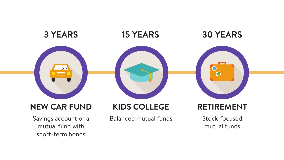![](_page_12_Picture_0.jpeg)

Savings account or a mutual fund with short-term bonds

Balanced mutual funds

Stock-focused

mutual funds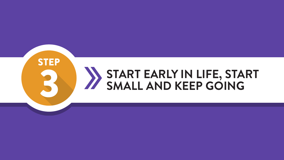![](_page_13_Picture_0.jpeg)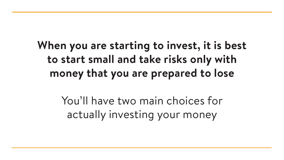## **When you are starting to invest, it is best to start small and take risks only with money that you are prepared to lose**

You'll have two main choices for actually investing your money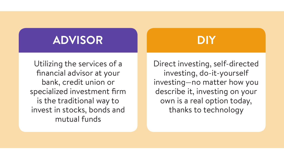Utilizing the services of a financial advisor at your bank, credit union or specialized investment firm is the traditional way to invest in stocks, bonds and mutual funds

Direct investing, self-directed investing, do-it-yourself investing—no matter how you describe it, investing on your own is a real option today, thanks to technology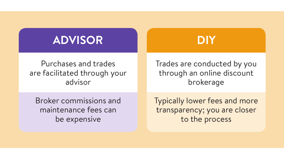Purchases and trades are facilitated through your advisor

Trades are conducted by you through an online discount brokerage

Broker commissions and maintenance fees can be expensive

Typically lower fees and more transparency; you are closer to the process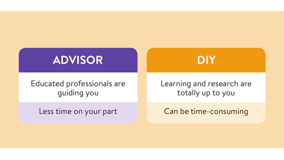Educated professionals are guiding you

Less time on your part

Learning and research are totally up to you

Can be time-consuming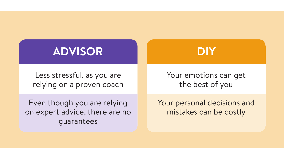Less stressful, as you are relying on a proven coach

Even though you are relying on expert advice, there are no guarantees

Your emotions can get the best of you

Your personal decisions and mistakes can be costly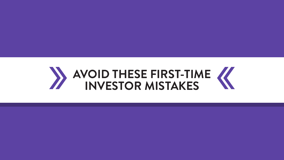![](_page_19_Picture_0.jpeg)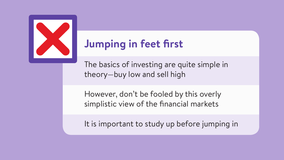![](_page_20_Picture_0.jpeg)

## **Jumping in feet first**

The basics of investing are quite simple in theory—buy low and sell high

However, don't be fooled by this overly simplistic view of the financial markets

It is important to study up before jumping in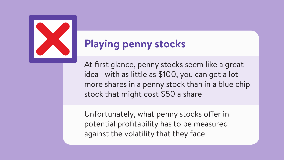![](_page_21_Picture_0.jpeg)

## **Playing penny stocks**

At first glance, penny stocks seem like a great idea—with as little as \$100, you can get a lot more shares in a penny stock than in a blue chip stock that might cost \$50 a share

Unfortunately, what penny stocks offer in potential profitability has to be measured against the volatility that they face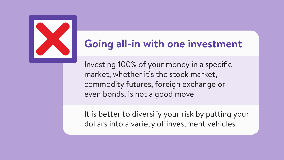![](_page_22_Picture_0.jpeg)

## **Going all-in with one investment**

Investing 100% of your money in a specific market, whether it's the stock market, commodity futures, foreign exchange or even bonds, is not a good move

It is better to diversify your risk by putting your dollars into a variety of investment vehicles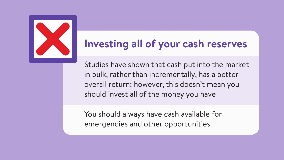![](_page_23_Picture_0.jpeg)

## **Investing all of your cash reserves**

Studies have shown that cash put into the market in bulk, rather than incrementally, has a better overall return; however, this doesn't mean you should invest all of the money you have

You should always have cash available for emergencies and other opportunities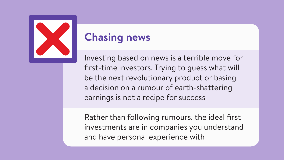![](_page_24_Picture_0.jpeg)

### **Chasing news**

Investing based on news is a terrible move for first-time investors. Trying to guess what will be the next revolutionary product or basing a decision on a rumour of earth-shattering earnings is not a recipe for success

Rather than following rumours, the ideal first investments are in companies you understand and have personal experience with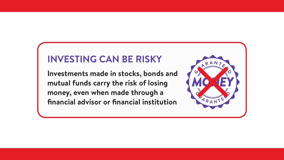### **INVESTING CAN BE RISKY**

**Investments made in stocks, bonds and mutual funds carry the risk of losing money, even when made through a financial advisor or financial institution**

![](_page_25_Picture_2.jpeg)